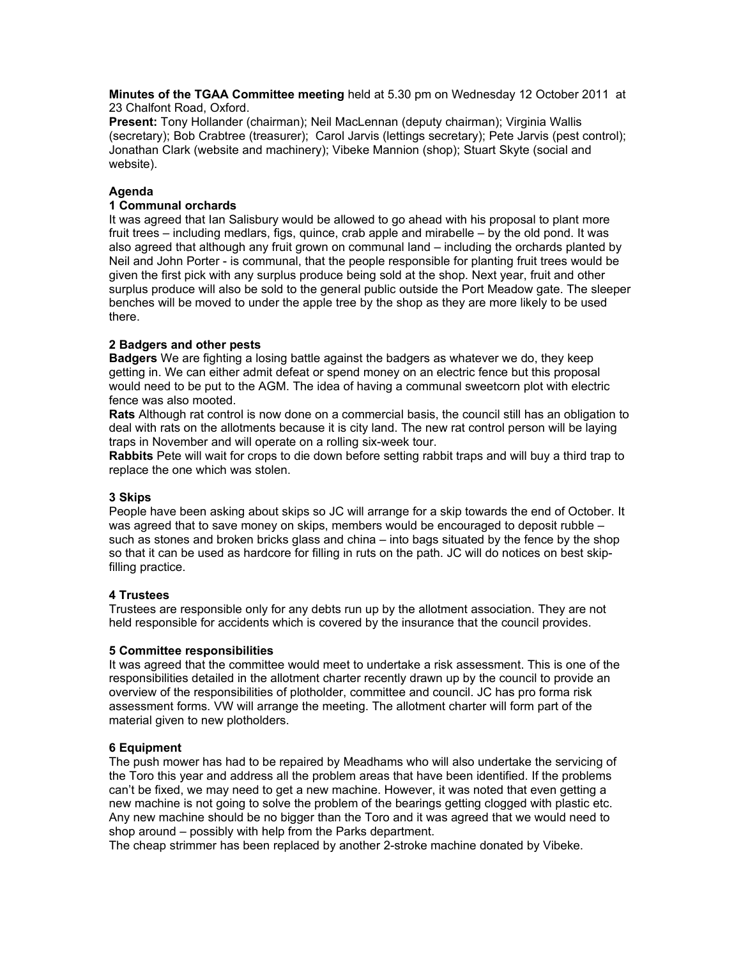**Minutes of the TGAA Committee meeting** held at 5.30 pm on Wednesday 12 October 2011 at 23 Chalfont Road, Oxford.

**Present:** Tony Hollander (chairman); Neil MacLennan (deputy chairman); Virginia Wallis (secretary); Bob Crabtree (treasurer); Carol Jarvis (lettings secretary); Pete Jarvis (pest control); Jonathan Clark (website and machinery); Vibeke Mannion (shop); Stuart Skyte (social and website).

## **Agenda**

# **1 Communal orchards**

It was agreed that Ian Salisbury would be allowed to go ahead with his proposal to plant more fruit trees – including medlars, figs, quince, crab apple and mirabelle – by the old pond. It was also agreed that although any fruit grown on communal land – including the orchards planted by Neil and John Porter - is communal, that the people responsible for planting fruit trees would be given the first pick with any surplus produce being sold at the shop. Next year, fruit and other surplus produce will also be sold to the general public outside the Port Meadow gate. The sleeper benches will be moved to under the apple tree by the shop as they are more likely to be used there.

## **2 Badgers and other pests**

**Badgers** We are fighting a losing battle against the badgers as whatever we do, they keep getting in. We can either admit defeat or spend money on an electric fence but this proposal would need to be put to the AGM. The idea of having a communal sweetcorn plot with electric fence was also mooted.

**Rats** Although rat control is now done on a commercial basis, the council still has an obligation to deal with rats on the allotments because it is city land. The new rat control person will be laying traps in November and will operate on a rolling six-week tour.

**Rabbits** Pete will wait for crops to die down before setting rabbit traps and will buy a third trap to replace the one which was stolen.

## **3 Skips**

People have been asking about skips so JC will arrange for a skip towards the end of October. It was agreed that to save money on skips, members would be encouraged to deposit rubble – such as stones and broken bricks glass and china – into bags situated by the fence by the shop so that it can be used as hardcore for filling in ruts on the path. JC will do notices on best skipfilling practice.

## **4 Trustees**

Trustees are responsible only for any debts run up by the allotment association. They are not held responsible for accidents which is covered by the insurance that the council provides.

## **5 Committee responsibilities**

It was agreed that the committee would meet to undertake a risk assessment. This is one of the responsibilities detailed in the allotment charter recently drawn up by the council to provide an overview of the responsibilities of plotholder, committee and council. JC has pro forma risk assessment forms. VW will arrange the meeting. The allotment charter will form part of the material given to new plotholders.

## **6 Equipment**

The push mower has had to be repaired by Meadhams who will also undertake the servicing of the Toro this year and address all the problem areas that have been identified. If the problems can't be fixed, we may need to get a new machine. However, it was noted that even getting a new machine is not going to solve the problem of the bearings getting clogged with plastic etc. Any new machine should be no bigger than the Toro and it was agreed that we would need to shop around – possibly with help from the Parks department.

The cheap strimmer has been replaced by another 2-stroke machine donated by Vibeke.